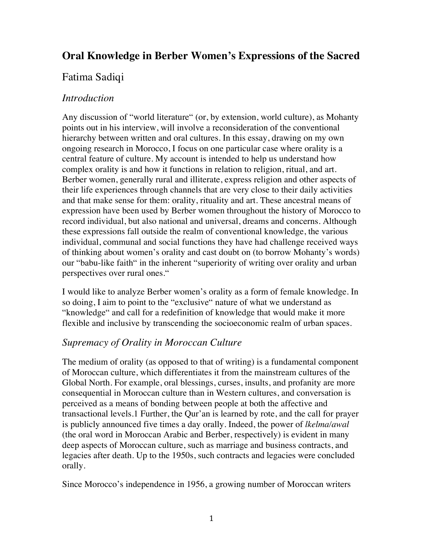# **Oral Knowledge in Berber Women's Expressions of the Sacred**

## Fatima Sadiqi

#### *Introduction*

Any discussion of "world literature" (or, by extension, world culture), as Mohanty points out in his interview, will involve a reconsideration of the conventional hierarchy between written and oral cultures. In this essay, drawing on my own ongoing research in Morocco, I focus on one particular case where orality is a central feature of culture. My account is intended to help us understand how complex orality is and how it functions in relation to religion, ritual, and art. Berber women, generally rural and illiterate, express religion and other aspects of their life experiences through channels that are very close to their daily activities and that make sense for them: orality, rituality and art. These ancestral means of expression have been used by Berber women throughout the history of Morocco to record individual, but also national and universal, dreams and concerns. Although these expressions fall outside the realm of conventional knowledge, the various individual, communal and social functions they have had challenge received ways of thinking about women's orality and cast doubt on (to borrow Mohanty's words) our "babu-like faith" in the inherent "superiority of writing over orality and urban perspectives over rural ones."

I would like to analyze Berber women's orality as a form of female knowledge. In so doing, I aim to point to the "exclusive" nature of what we understand as "knowledge" and call for a redefinition of knowledge that would make it more flexible and inclusive by transcending the socioeconomic realm of urban spaces.

### *Supremacy of Orality in Moroccan Culture*

The medium of orality (as opposed to that of writing) is a fundamental component of Moroccan culture, which differentiates it from the mainstream cultures of the Global North. For example, oral blessings, curses, insults, and profanity are more consequential in Moroccan culture than in Western cultures, and conversation is perceived as a means of bonding between people at both the affective and transactional levels.1 Further, the Qur'an is learned by rote, and the call for prayer is publicly announced five times a day orally. Indeed, the power of *lkelma/awal*  (the oral word in Moroccan Arabic and Berber, respectively) is evident in many deep aspects of Moroccan culture, such as marriage and business contracts, and legacies after death. Up to the 1950s, such contracts and legacies were concluded orally.

Since Morocco's independence in 1956, a growing number of Moroccan writers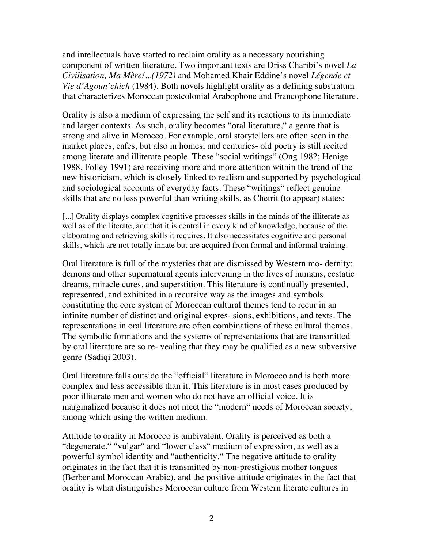and intellectuals have started to reclaim orality as a necessary nourishing component of written literature. Two important texts are Driss Charibi's novel *La Civilisation, Ma Mère!...(1972)* and Mohamed Khair Eddine's novel *Légende et Vie d'Agoun'chich* (1984). Both novels highlight orality as a defining substratum that characterizes Moroccan postcolonial Arabophone and Francophone literature.

Orality is also a medium of expressing the self and its reactions to its immediate and larger contexts. As such, orality becomes "oral literature," a genre that is strong and alive in Morocco. For example, oral storytellers are often seen in the market places, cafes, but also in homes; and centuries- old poetry is still recited among literate and illiterate people. These "social writings" (Ong 1982; Henige 1988, Folley 1991) are receiving more and more attention within the trend of the new historicism, which is closely linked to realism and supported by psychological and sociological accounts of everyday facts. These "writings" reflect genuine skills that are no less powerful than writing skills, as Chetrit (to appear) states:

[...] Orality displays complex cognitive processes skills in the minds of the illiterate as well as of the literate, and that it is central in every kind of knowledge, because of the elaborating and retrieving skills it requires. It also necessitates cognitive and personal skills, which are not totally innate but are acquired from formal and informal training.

Oral literature is full of the mysteries that are dismissed by Western mo- dernity: demons and other supernatural agents intervening in the lives of humans, ecstatic dreams, miracle cures, and superstition. This literature is continually presented, represented, and exhibited in a recursive way as the images and symbols constituting the core system of Moroccan cultural themes tend to recur in an infinite number of distinct and original expres- sions, exhibitions, and texts. The representations in oral literature are often combinations of these cultural themes. The symbolic formations and the systems of representations that are transmitted by oral literature are so re- vealing that they may be qualified as a new subversive genre (Sadiqi 2003).

Oral literature falls outside the "official" literature in Morocco and is both more complex and less accessible than it. This literature is in most cases produced by poor illiterate men and women who do not have an official voice. It is marginalized because it does not meet the "modern" needs of Moroccan society, among which using the written medium.

Attitude to orality in Morocco is ambivalent. Orality is perceived as both a "degenerate," "vulgar" and "lower class" medium of expression, as well as a powerful symbol identity and "authenticity." The negative attitude to orality originates in the fact that it is transmitted by non-prestigious mother tongues (Berber and Moroccan Arabic), and the positive attitude originates in the fact that orality is what distinguishes Moroccan culture from Western literate cultures in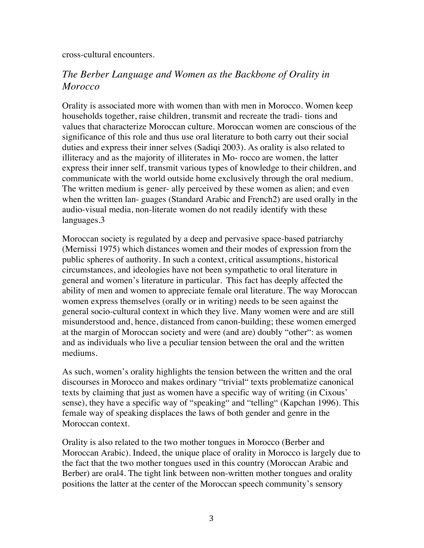cross-cultural encounters.

## *The Berber Language and Women as the Backbone of Orality in Morocco*

Orality is associated more with women than with men in Morocco. Women keep households together, raise children, transmit and recreate the tradi- tions and values that characterize Moroccan culture. Moroccan women are conscious of the significance of this role and thus use oral literature to both carry out their social duties and express their inner selves (Sadiqi 2003). As orality is also related to illiteracy and as the majority of illiterates in Mo- rocco are women, the latter express their inner self, transmit various types of knowledge to their children, and communicate with the world outside home exclusively through the oral medium. The written medium is gener- ally perceived by these women as alien; and even when the written lan- guages (Standard Arabic and French2) are used orally in the audio-visual media, non-literate women do not readily identify with these languages.3

Moroccan society is regulated by a deep and pervasive space-based patriarchy (Mernissi 1975) which distances women and their modes of expression from the public spheres of authority. In such a context, critical assumptions, historical circumstances, and ideologies have not been sympathetic to oral literature in general and women's literature in particular. This fact has deeply affected the ability of men and women to appreciate female oral literature. The way Moroccan women express themselves (orally or in writing) needs to be seen against the general socio-cultural context in which they live. Many women were and are still misunderstood and, hence, distanced from canon-building; these women emerged at the margin of Moroccan society and were (and are) doubly "other": as women and as individuals who live a peculiar tension between the oral and the written mediums.

As such, women's orality highlights the tension between the written and the oral discourses in Morocco and makes ordinary "trivial" texts problematize canonical texts by claiming that just as women have a specific way of writing (in Cixous' sense), they have a specific way of "speaking" and "telling" (Kapchan 1996). This female way of speaking displaces the laws of both gender and genre in the Moroccan context.

Orality is also related to the two mother tongues in Morocco (Berber and Moroccan Arabic). Indeed, the unique place of orality in Morocco is largely due to the fact that the two mother tongues used in this country (Moroccan Arabic and Berber) are oral4. The tight link between non-written mother tongues and orality positions the latter at the center of the Moroccan speech community's sensory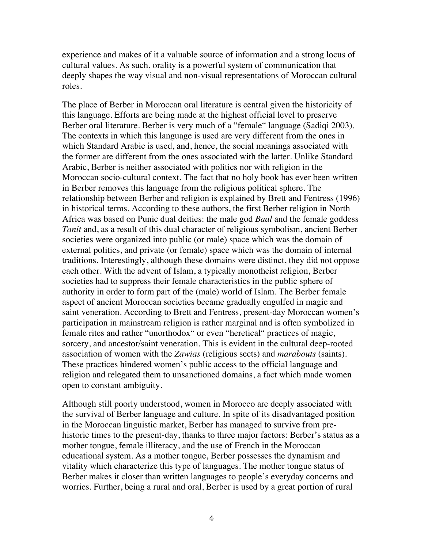experience and makes of it a valuable source of information and a strong locus of cultural values. As such, orality is a powerful system of communication that deeply shapes the way visual and non-visual representations of Moroccan cultural roles.

The place of Berber in Moroccan oral literature is central given the historicity of this language. Efforts are being made at the highest official level to preserve Berber oral literature. Berber is very much of a "female" language (Sadiqi 2003). The contexts in which this language is used are very different from the ones in which Standard Arabic is used, and, hence, the social meanings associated with the former are different from the ones associated with the latter. Unlike Standard Arabic, Berber is neither associated with politics nor with religion in the Moroccan socio-cultural context. The fact that no holy book has ever been written in Berber removes this language from the religious political sphere. The relationship between Berber and religion is explained by Brett and Fentress (1996) in historical terms. According to these authors, the first Berber religion in North Africa was based on Punic dual deities: the male god *Baal* and the female goddess *Tanit* and, as a result of this dual character of religious symbolism, ancient Berber societies were organized into public (or male) space which was the domain of external politics, and private (or female) space which was the domain of internal traditions. Interestingly, although these domains were distinct, they did not oppose each other. With the advent of Islam, a typically monotheist religion, Berber societies had to suppress their female characteristics in the public sphere of authority in order to form part of the (male) world of Islam. The Berber female aspect of ancient Moroccan societies became gradually engulfed in magic and saint veneration. According to Brett and Fentress, present-day Moroccan women's participation in mainstream religion is rather marginal and is often symbolized in female rites and rather "unorthodox" or even "heretical" practices of magic, sorcery, and ancestor/saint veneration. This is evident in the cultural deep-rooted association of women with the *Zawias* (religious sects) and *marabouts* (saints). These practices hindered women's public access to the official language and religion and relegated them to unsanctioned domains, a fact which made women open to constant ambiguity.

Although still poorly understood, women in Morocco are deeply associated with the survival of Berber language and culture. In spite of its disadvantaged position in the Moroccan linguistic market, Berber has managed to survive from prehistoric times to the present-day, thanks to three major factors: Berber's status as a mother tongue, female illiteracy, and the use of French in the Moroccan educational system. As a mother tongue, Berber possesses the dynamism and vitality which characterize this type of languages. The mother tongue status of Berber makes it closer than written languages to people's everyday concerns and worries. Further, being a rural and oral, Berber is used by a great portion of rural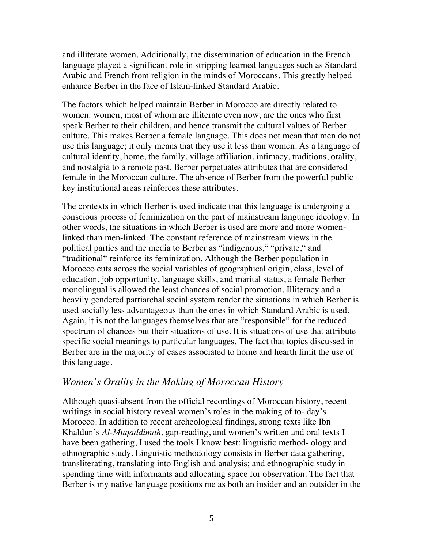and illiterate women. Additionally, the dissemination of education in the French language played a significant role in stripping learned languages such as Standard Arabic and French from religion in the minds of Moroccans. This greatly helped enhance Berber in the face of Islam-linked Standard Arabic.

The factors which helped maintain Berber in Morocco are directly related to women: women, most of whom are illiterate even now, are the ones who first speak Berber to their children, and hence transmit the cultural values of Berber culture. This makes Berber a female language. This does not mean that men do not use this language; it only means that they use it less than women. As a language of cultural identity, home, the family, village affiliation, intimacy, traditions, orality, and nostalgia to a remote past, Berber perpetuates attributes that are considered female in the Moroccan culture. The absence of Berber from the powerful public key institutional areas reinforces these attributes.

The contexts in which Berber is used indicate that this language is undergoing a conscious process of feminization on the part of mainstream language ideology. In other words, the situations in which Berber is used are more and more womenlinked than men-linked. The constant reference of mainstream views in the political parties and the media to Berber as "indigenous," "private," and "traditional" reinforce its feminization. Although the Berber population in Morocco cuts across the social variables of geographical origin, class, level of education, job opportunity, language skills, and marital status, a female Berber monolingual is allowed the least chances of social promotion. Illiteracy and a heavily gendered patriarchal social system render the situations in which Berber is used socially less advantageous than the ones in which Standard Arabic is used. Again, it is not the languages themselves that are "responsible" for the reduced spectrum of chances but their situations of use. It is situations of use that attribute specific social meanings to particular languages. The fact that topics discussed in Berber are in the majority of cases associated to home and hearth limit the use of this language.

#### *Women's Orality in the Making of Moroccan History*

Although quasi-absent from the official recordings of Moroccan history, recent writings in social history reveal women's roles in the making of to- day's Morocco. In addition to recent archeological findings, strong texts like Ibn Khaldun's *Al-Muqaddimah,* gap-reading, and women's written and oral texts I have been gathering, I used the tools I know best: linguistic method- ology and ethnographic study. Linguistic methodology consists in Berber data gathering, transliterating, translating into English and analysis; and ethnographic study in spending time with informants and allocating space for observation. The fact that Berber is my native language positions me as both an insider and an outsider in the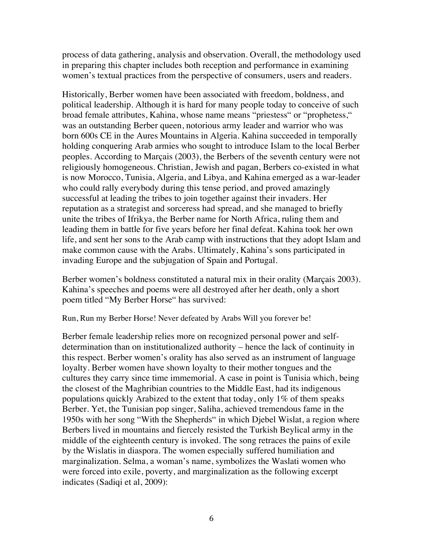process of data gathering, analysis and observation. Overall, the methodology used in preparing this chapter includes both reception and performance in examining women's textual practices from the perspective of consumers, users and readers.

Historically, Berber women have been associated with freedom, boldness, and political leadership. Although it is hard for many people today to conceive of such broad female attributes, Kahina, whose name means "priestess" or "prophetess," was an outstanding Berber queen, notorious army leader and warrior who was born 600s CE in the Aures Mountains in Algeria. Kahina succeeded in temporally holding conquering Arab armies who sought to introduce Islam to the local Berber peoples. According to Marçais (2003), the Berbers of the seventh century were not religiously homogeneous. Christian, Jewish and pagan, Berbers co-existed in what is now Morocco, Tunisia, Algeria, and Libya, and Kahina emerged as a war-leader who could rally everybody during this tense period, and proved amazingly successful at leading the tribes to join together against their invaders. Her reputation as a strategist and sorceress had spread, and she managed to briefly unite the tribes of Ifrikya, the Berber name for North Africa, ruling them and leading them in battle for five years before her final defeat. Kahina took her own life, and sent her sons to the Arab camp with instructions that they adopt Islam and make common cause with the Arabs. Ultimately, Kahina's sons participated in invading Europe and the subjugation of Spain and Portugal.

Berber women's boldness constituted a natural mix in their orality (Marçais 2003). Kahina's speeches and poems were all destroyed after her death, only a short poem titled "My Berber Horse" has survived:

Run, Run my Berber Horse! Never defeated by Arabs Will you forever be!

Berber female leadership relies more on recognized personal power and selfdetermination than on institutionalized authority – hence the lack of continuity in this respect. Berber women's orality has also served as an instrument of language loyalty. Berber women have shown loyalty to their mother tongues and the cultures they carry since time immemorial. A case in point is Tunisia which, being the closest of the Maghribian countries to the Middle East, had its indigenous populations quickly Arabized to the extent that today, only 1% of them speaks Berber. Yet, the Tunisian pop singer, Saliha, achieved tremendous fame in the 1950s with her song "With the Shepherds" in which Djebel Wislat, a region where Berbers lived in mountains and fiercely resisted the Turkish Beylical army in the middle of the eighteenth century is invoked. The song retraces the pains of exile by the Wislatis in diaspora. The women especially suffered humiliation and marginalization. Selma, a woman's name, symbolizes the Waslati women who were forced into exile, poverty, and marginalization as the following excerpt indicates (Sadiqi et al, 2009):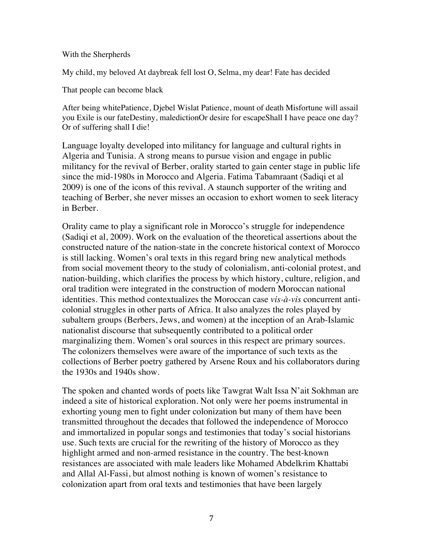#### With the Sherpherds

My child, my beloved At daybreak fell lost O, Selma, my dear! Fate has decided

That people can become black

After being whitePatience, Djebel Wislat Patience, mount of death Misfortune will assail you Exile is our fateDestiny, maledictionOr desire for escapeShall I have peace one day? Or of suffering shall I die!

Language loyalty developed into militancy for language and cultural rights in Algeria and Tunisia. A strong means to pursue vision and engage in public militancy for the revival of Berber, orality started to gain center stage in public life since the mid-1980s in Morocco and Algeria. Fatima Tabamraant (Sadiqi et al 2009) is one of the icons of this revival. A staunch supporter of the writing and teaching of Berber, she never misses an occasion to exhort women to seek literacy in Berber.

Orality came to play a significant role in Morocco's struggle for independence (Sadiqi et al, 2009). Work on the evaluation of the theoretical assertions about the constructed nature of the nation-state in the concrete historical context of Morocco is still lacking. Women's oral texts in this regard bring new analytical methods from social movement theory to the study of colonialism, anti-colonial protest, and nation-building, which clarifies the process by which history, culture, religion, and oral tradition were integrated in the construction of modern Moroccan national identities. This method contextualizes the Moroccan case *vis-à-vis* concurrent anticolonial struggles in other parts of Africa. It also analyzes the roles played by subaltern groups (Berbers, Jews, and women) at the inception of an Arab-Islamic nationalist discourse that subsequently contributed to a political order marginalizing them. Women's oral sources in this respect are primary sources. The colonizers themselves were aware of the importance of such texts as the collections of Berber poetry gathered by Arsene Roux and his collaborators during the 1930s and 1940s show.

The spoken and chanted words of poets like Tawgrat Walt Issa N'ait Sokhman are indeed a site of historical exploration. Not only were her poems instrumental in exhorting young men to fight under colonization but many of them have been transmitted throughout the decades that followed the independence of Morocco and immortalized in popular songs and testimonies that today's social historians use. Such texts are crucial for the rewriting of the history of Morocco as they highlight armed and non-armed resistance in the country. The best-known resistances are associated with male leaders like Mohamed Abdelkrim Khattabi and Allal Al-Fassi, but almost nothing is known of women's resistance to colonization apart from oral texts and testimonies that have been largely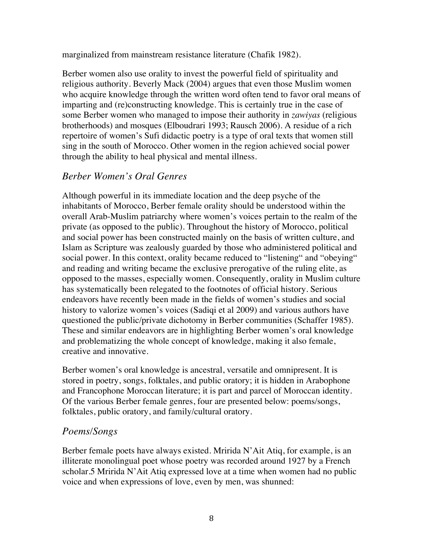marginalized from mainstream resistance literature (Chafik 1982).

Berber women also use orality to invest the powerful field of spirituality and religious authority. Beverly Mack (2004) argues that even those Muslim women who acquire knowledge through the written word often tend to favor oral means of imparting and (re)constructing knowledge. This is certainly true in the case of some Berber women who managed to impose their authority in *zawiyas* (religious brotherhoods) and mosques (Elboudrari 1993; Rausch 2006). A residue of a rich repertoire of women's Sufi didactic poetry is a type of oral texts that women still sing in the south of Morocco. Other women in the region achieved social power through the ability to heal physical and mental illness.

## *Berber Women's Oral Genres*

Although powerful in its immediate location and the deep psyche of the inhabitants of Morocco, Berber female orality should be understood within the overall Arab-Muslim patriarchy where women's voices pertain to the realm of the private (as opposed to the public). Throughout the history of Morocco, political and social power has been constructed mainly on the basis of written culture, and Islam as Scripture was zealously guarded by those who administered political and social power. In this context, orality became reduced to "listening" and "obeying" and reading and writing became the exclusive prerogative of the ruling elite, as opposed to the masses, especially women. Consequently, orality in Muslim culture has systematically been relegated to the footnotes of official history. Serious endeavors have recently been made in the fields of women's studies and social history to valorize women's voices (Sadiqi et al 2009) and various authors have questioned the public/private dichotomy in Berber communities (Schaffer 1985). These and similar endeavors are in highlighting Berber women's oral knowledge and problematizing the whole concept of knowledge, making it also female, creative and innovative.

Berber women's oral knowledge is ancestral, versatile and omnipresent. It is stored in poetry, songs, folktales, and public oratory; it is hidden in Arabophone and Francophone Moroccan literature; it is part and parcel of Moroccan identity. Of the various Berber female genres, four are presented below: poems/songs, folktales, public oratory, and family/cultural oratory.

## *Poems/Songs*

Berber female poets have always existed. Mririda N'Ait Atiq, for example, is an illiterate monolingual poet whose poetry was recorded around 1927 by a French scholar.5 Mririda N'Ait Atiq expressed love at a time when women had no public voice and when expressions of love, even by men, was shunned: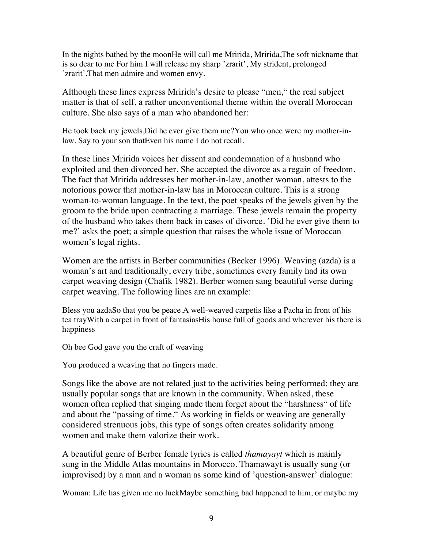In the nights bathed by the moonHe will call me Mririda, Mririda,The soft nickname that is so dear to me For him I will release my sharp 'zrarit', My strident, prolonged 'zrarit',That men admire and women envy.

Although these lines express Mririda's desire to please "men," the real subject matter is that of self, a rather unconventional theme within the overall Moroccan culture. She also says of a man who abandoned her:

He took back my jewels,Did he ever give them me?You who once were my mother-inlaw, Say to your son thatEven his name I do not recall.

In these lines Mririda voices her dissent and condemnation of a husband who exploited and then divorced her. She accepted the divorce as a regain of freedom. The fact that Mririda addresses her mother-in-law, another woman, attests to the notorious power that mother-in-law has in Moroccan culture. This is a strong woman-to-woman language. In the text, the poet speaks of the jewels given by the groom to the bride upon contracting a marriage. These jewels remain the property of the husband who takes them back in cases of divorce. 'Did he ever give them to me?' asks the poet; a simple question that raises the whole issue of Moroccan women's legal rights.

Women are the artists in Berber communities (Becker 1996). Weaving (azda) is a woman's art and traditionally, every tribe, sometimes every family had its own carpet weaving design (Chafik 1982). Berber women sang beautiful verse during carpet weaving. The following lines are an example:

Bless you azdaSo that you be peace.A well-weaved carpetis like a Pacha in front of his tea trayWith a carpet in front of fantasiasHis house full of goods and wherever his there is happiness

Oh bee God gave you the craft of weaving

You produced a weaving that no fingers made.

Songs like the above are not related just to the activities being performed; they are usually popular songs that are known in the community. When asked, these women often replied that singing made them forget about the "harshness" of life and about the "passing of time." As working in fields or weaving are generally considered strenuous jobs, this type of songs often creates solidarity among women and make them valorize their work.

A beautiful genre of Berber female lyrics is called *thamayayt* which is mainly sung in the Middle Atlas mountains in Morocco. Thamawayt is usually sung (or improvised) by a man and a woman as some kind of 'question-answer' dialogue:

Woman: Life has given me no luckMaybe something bad happened to him, or maybe my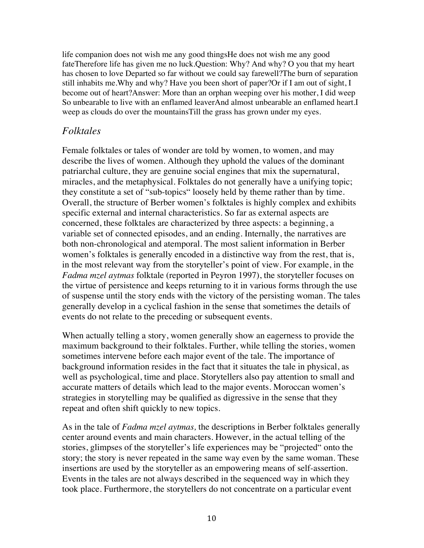life companion does not wish me any good thingsHe does not wish me any good fateTherefore life has given me no luck.Question: Why? And why? O you that my heart has chosen to love Departed so far without we could say farewell?The burn of separation still inhabits me.Why and why? Have you been short of paper?Or if I am out of sight, I become out of heart?Answer: More than an orphan weeping over his mother, I did weep So unbearable to live with an enflamed leaverAnd almost unbearable an enflamed heart.I weep as clouds do over the mountainsTill the grass has grown under my eyes.

## *Folktales*

Female folktales or tales of wonder are told by women, to women, and may describe the lives of women. Although they uphold the values of the dominant patriarchal culture, they are genuine social engines that mix the supernatural, miracles, and the metaphysical. Folktales do not generally have a unifying topic; they constitute a set of "sub-topics" loosely held by theme rather than by time. Overall, the structure of Berber women's folktales is highly complex and exhibits specific external and internal characteristics. So far as external aspects are concerned, these folktales are characterized by three aspects: a beginning, a variable set of connected episodes, and an ending. Internally, the narratives are both non-chronological and atemporal. The most salient information in Berber women's folktales is generally encoded in a distinctive way from the rest, that is, in the most relevant way from the storyteller's point of view. For example, in the *Fadma mzel aytmas* folktale (reported in Peyron 1997), the storyteller focuses on the virtue of persistence and keeps returning to it in various forms through the use of suspense until the story ends with the victory of the persisting woman. The tales generally develop in a cyclical fashion in the sense that sometimes the details of events do not relate to the preceding or subsequent events.

When actually telling a story, women generally show an eagerness to provide the maximum background to their folktales. Further, while telling the stories, women sometimes intervene before each major event of the tale. The importance of background information resides in the fact that it situates the tale in physical, as well as psychological, time and place. Storytellers also pay attention to small and accurate matters of details which lead to the major events. Moroccan women's strategies in storytelling may be qualified as digressive in the sense that they repeat and often shift quickly to new topics.

As in the tale of *Fadma mzel aytmas,* the descriptions in Berber folktales generally center around events and main characters. However, in the actual telling of the stories, glimpses of the storyteller's life experiences may be "projected" onto the story; the story is never repeated in the same way even by the same woman. These insertions are used by the storyteller as an empowering means of self-assertion. Events in the tales are not always described in the sequenced way in which they took place. Furthermore, the storytellers do not concentrate on a particular event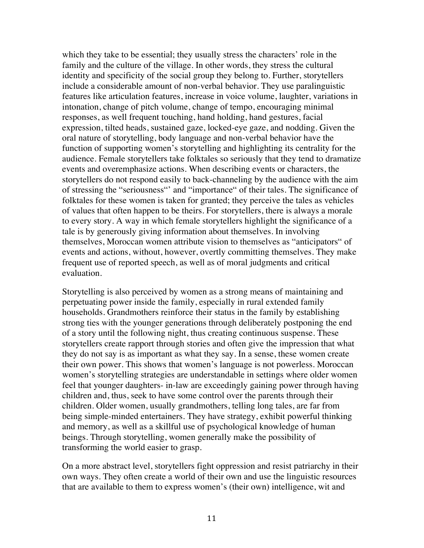which they take to be essential; they usually stress the characters' role in the family and the culture of the village. In other words, they stress the cultural identity and specificity of the social group they belong to. Further, storytellers include a considerable amount of non-verbal behavior. They use paralinguistic features like articulation features, increase in voice volume, laughter, variations in intonation, change of pitch volume, change of tempo, encouraging minimal responses, as well frequent touching, hand holding, hand gestures, facial expression, tilted heads, sustained gaze, locked-eye gaze, and nodding. Given the oral nature of storytelling, body language and non-verbal behavior have the function of supporting women's storytelling and highlighting its centrality for the audience. Female storytellers take folktales so seriously that they tend to dramatize events and overemphasize actions. When describing events or characters, the storytellers do not respond easily to back-channeling by the audience with the aim of stressing the "seriousness"' and "importance" of their tales. The significance of folktales for these women is taken for granted; they perceive the tales as vehicles of values that often happen to be theirs. For storytellers, there is always a morale to every story. A way in which female storytellers highlight the significance of a tale is by generously giving information about themselves. In involving themselves, Moroccan women attribute vision to themselves as "anticipators" of events and actions, without, however, overtly committing themselves. They make frequent use of reported speech, as well as of moral judgments and critical evaluation.

Storytelling is also perceived by women as a strong means of maintaining and perpetuating power inside the family, especially in rural extended family households. Grandmothers reinforce their status in the family by establishing strong ties with the younger generations through deliberately postponing the end of a story until the following night, thus creating continuous suspense. These storytellers create rapport through stories and often give the impression that what they do not say is as important as what they say. In a sense, these women create their own power. This shows that women's language is not powerless. Moroccan women's storytelling strategies are understandable in settings where older women feel that younger daughters- in-law are exceedingly gaining power through having children and, thus, seek to have some control over the parents through their children. Older women, usually grandmothers, telling long tales, are far from being simple-minded entertainers. They have strategy, exhibit powerful thinking and memory, as well as a skillful use of psychological knowledge of human beings. Through storytelling, women generally make the possibility of transforming the world easier to grasp.

On a more abstract level, storytellers fight oppression and resist patriarchy in their own ways. They often create a world of their own and use the linguistic resources that are available to them to express women's (their own) intelligence, wit and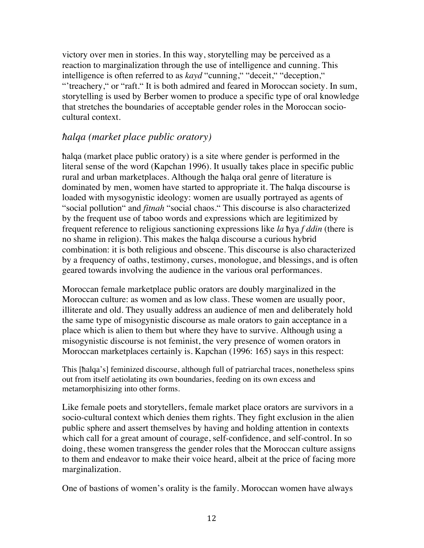victory over men in stories. In this way, storytelling may be perceived as a reaction to marginalization through the use of intelligence and cunning. This intelligence is often referred to as *kayd* "cunning," "deceit," "deception," "'treachery," or "raft." It is both admired and feared in Moroccan society. In sum, storytelling is used by Berber women to produce a specific type of oral knowledge that stretches the boundaries of acceptable gender roles in the Moroccan sociocultural context.

#### *ħalqa (market place public oratory)*

ħalqa (market place public oratory) is a site where gender is performed in the literal sense of the word (Kapchan 1996). It usually takes place in specific public rural and urban marketplaces. Although the ħalqa oral genre of literature is dominated by men, women have started to appropriate it. The ħalqa discourse is loaded with mysogynistic ideology: women are usually portrayed as agents of "social pollution" and *fitnah* "social chaos." This discourse is also characterized by the frequent use of taboo words and expressions which are legitimized by frequent reference to religious sanctioning expressions like *la* ħya *f ddin* (there is no shame in religion). This makes the ħalqa discourse a curious hybrid combination: it is both religious and obscene. This discourse is also characterized by a frequency of oaths, testimony, curses, monologue, and blessings, and is often geared towards involving the audience in the various oral performances.

Moroccan female marketplace public orators are doubly marginalized in the Moroccan culture: as women and as low class. These women are usually poor, illiterate and old. They usually address an audience of men and deliberately hold the same type of misogynistic discourse as male orators to gain acceptance in a place which is alien to them but where they have to survive. Although using a misogynistic discourse is not feminist, the very presence of women orators in Moroccan marketplaces certainly is. Kapchan (1996: 165) says in this respect:

This [ħalqa's] feminized discourse, although full of patriarchal traces, nonetheless spins out from itself aetiolating its own boundaries, feeding on its own excess and metamorphisizing into other forms.

Like female poets and storytellers, female market place orators are survivors in a socio-cultural context which denies them rights. They fight exclusion in the alien public sphere and assert themselves by having and holding attention in contexts which call for a great amount of courage, self-confidence, and self-control. In so doing, these women transgress the gender roles that the Moroccan culture assigns to them and endeavor to make their voice heard, albeit at the price of facing more marginalization.

One of bastions of women's orality is the family. Moroccan women have always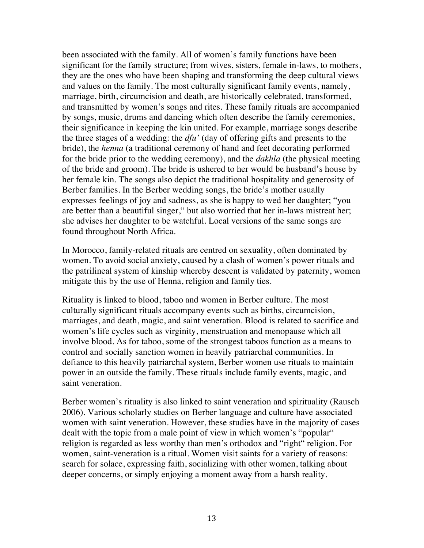been associated with the family. All of women's family functions have been significant for the family structure; from wives, sisters, female in-laws, to mothers, they are the ones who have been shaping and transforming the deep cultural views and values on the family. The most culturally significant family events, namely, marriage, birth, circumcision and death, are historically celebrated, transformed, and transmitted by women's songs and rites. These family rituals are accompanied by songs, music, drums and dancing which often describe the family ceremonies, their significance in keeping the kin united. For example, marriage songs describe the three stages of a wedding: the *dfu'* (day of offering gifts and presents to the bride), the *henna* (a traditional ceremony of hand and feet decorating performed for the bride prior to the wedding ceremony), and the *dakhla* (the physical meeting of the bride and groom). The bride is ushered to her would be husband's house by her female kin. The songs also depict the traditional hospitality and generosity of Berber families. In the Berber wedding songs, the bride's mother usually expresses feelings of joy and sadness, as she is happy to wed her daughter; "you are better than a beautiful singer," but also worried that her in-laws mistreat her; she advises her daughter to be watchful. Local versions of the same songs are found throughout North Africa.

In Morocco, family-related rituals are centred on sexuality, often dominated by women. To avoid social anxiety, caused by a clash of women's power rituals and the patrilineal system of kinship whereby descent is validated by paternity, women mitigate this by the use of Henna, religion and family ties.

Rituality is linked to blood, taboo and women in Berber culture. The most culturally significant rituals accompany events such as births, circumcision, marriages, and death, magic, and saint veneration. Blood is related to sacrifice and women's life cycles such as virginity, menstruation and menopause which all involve blood. As for taboo, some of the strongest taboos function as a means to control and socially sanction women in heavily patriarchal communities. In defiance to this heavily patriarchal system, Berber women use rituals to maintain power in an outside the family. These rituals include family events, magic, and saint veneration.

Berber women's rituality is also linked to saint veneration and spirituality (Rausch 2006). Various scholarly studies on Berber language and culture have associated women with saint veneration. However, these studies have in the majority of cases dealt with the topic from a male point of view in which women's "popular" religion is regarded as less worthy than men's orthodox and "right" religion. For women, saint-veneration is a ritual. Women visit saints for a variety of reasons: search for solace, expressing faith, socializing with other women, talking about deeper concerns, or simply enjoying a moment away from a harsh reality.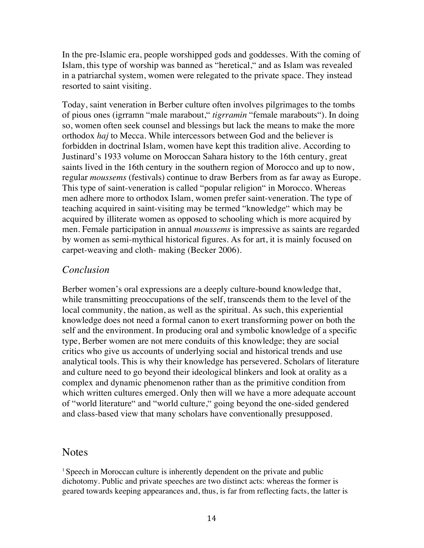In the pre-Islamic era, people worshipped gods and goddesses. With the coming of Islam, this type of worship was banned as "heretical," and as Islam was revealed in a patriarchal system, women were relegated to the private space. They instead resorted to saint visiting.

Today, saint veneration in Berber culture often involves pilgrimages to the tombs of pious ones (igrramn "male marabout," *tigrramin* "female marabouts"). In doing so, women often seek counsel and blessings but lack the means to make the more orthodox *haj* to Mecca. While intercessors between God and the believer is forbidden in doctrinal Islam, women have kept this tradition alive. According to Justinard's 1933 volume on Moroccan Sahara history to the 16th century, great saints lived in the 16th century in the southern region of Morocco and up to now, regular *moussems* (festivals) continue to draw Berbers from as far away as Europe. This type of saint-veneration is called "popular religion" in Morocco. Whereas men adhere more to orthodox Islam, women prefer saint-veneration. The type of teaching acquired in saint-visiting may be termed "knowledge" which may be acquired by illiterate women as opposed to schooling which is more acquired by men. Female participation in annual *moussems* is impressive as saints are regarded by women as semi-mythical historical figures. As for art, it is mainly focused on carpet-weaving and cloth- making (Becker 2006).

#### *Conclusion*

Berber women's oral expressions are a deeply culture-bound knowledge that, while transmitting preoccupations of the self, transcends them to the level of the local community, the nation, as well as the spiritual. As such, this experiential knowledge does not need a formal canon to exert transforming power on both the self and the environment. In producing oral and symbolic knowledge of a specific type, Berber women are not mere conduits of this knowledge; they are social critics who give us accounts of underlying social and historical trends and use analytical tools. This is why their knowledge has persevered. Scholars of literature and culture need to go beyond their ideological blinkers and look at orality as a complex and dynamic phenomenon rather than as the primitive condition from which written cultures emerged. Only then will we have a more adequate account of "world literature" and "world culture," going beyond the one-sided gendered and class-based view that many scholars have conventionally presupposed.

### Notes

 $1$  Speech in Moroccan culture is inherently dependent on the private and public dichotomy. Public and private speeches are two distinct acts: whereas the former is geared towards keeping appearances and, thus, is far from reflecting facts, the latter is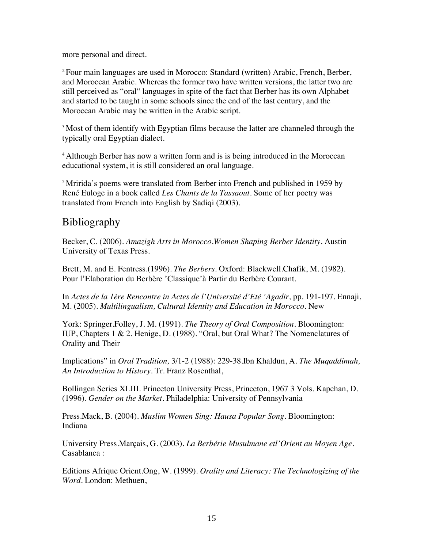more personal and direct.

2 Four main languages are used in Morocco: Standard (written) Arabic, French, Berber, and Moroccan Arabic. Whereas the former two have written versions, the latter two are still perceived as "oral" languages in spite of the fact that Berber has its own Alphabet and started to be taught in some schools since the end of the last century, and the Moroccan Arabic may be written in the Arabic script.

<sup>3</sup> Most of them identify with Egyptian films because the latter are channeled through the typically oral Egyptian dialect.

<sup>4</sup> Although Berber has now a written form and is is being introduced in the Moroccan educational system, it is still considered an oral language.

<sup>5</sup>Mririda's poems were translated from Berber into French and published in 1959 by René Euloge in a book called *Les Chants de la Tassaout.* Some of her poetry was translated from French into English by Sadiqi (2003).

## Bibliography

Becker, C. (2006). *Amazigh Arts in Morocco.Women Shaping Berber Identity.* Austin University of Texas Press.

Brett, M. and E. Fentress.(1996). *The Berbers.* Oxford: Blackwell.Chafik, M. (1982). Pour l'Elaboration du Berbère 'Classique'à Partir du Berbère Courant.

In *Actes de la 1ère Rencontre in Actes de l'Université d'Eté 'Agadir*, pp. 191-197. Ennaji, M. (2005). *Multilingualism, Cultural Identity and Education in Morocco.* New

York: Springer.Folley, J. M. (1991). *The Theory of Oral Composition.* Bloomington: IUP, Chapters 1 & 2. Henige, D. (1988). "Oral, but Oral What? The Nomenclatures of Orality and Their

Implications" in *Oral Tradition,* 3/1-2 (1988): 229-38.Ibn Khaldun, A. *The Muqaddimah, An Introduction to History.* Tr. Franz Rosenthal,

Bollingen Series XLIII. Princeton University Press, Princeton, 1967 3 Vols. Kapchan, D. (1996). *Gender on the Market.* Philadelphia: University of Pennsylvania

Press.Mack, B. (2004). *Muslim Women Sing: Hausa Popular Song.* Bloomington: Indiana

University Press.Marçais, G. (2003). *La Berbérie Musulmane etl'Orient au Moyen Age.*  Casablanca :

Editions Afrique Orient.Ong, W. (1999). *Orality and Literacy: The Technologizing of the Word.* London: Methuen,